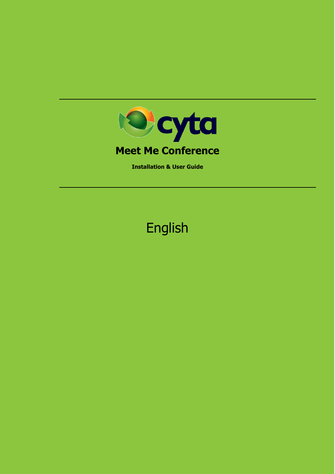

**Installation & User Guide**

# English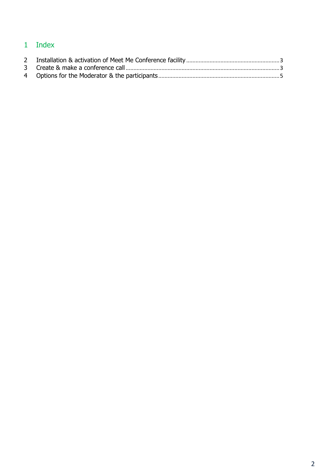# Index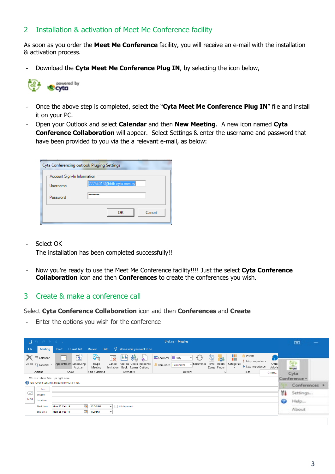## <span id="page-2-0"></span>2 Installation & activation of Meet Me Conference facility

As soon as you order the **Meet Me Conference** facility, you will receive an e-mail with the installation & activation process.

- Download the **Cyta Meet Me Conference Plug IN**, by selecting the icon below,



- Once the above step is completed, select the "**Cyta Meet Me Conference Plug IN**" file and install it on your PC.
- Open your Outlook and select **Calendar** and then **New Meeting**. A new icon named **Cyta Conference Collaboration** will appear. Select Settings & enter the username and password that have been provided to you via the a relevant e-mail, as below:

| Cyta Conferencing outlook Pluging Settings |                           |
|--------------------------------------------|---------------------------|
| Account Sign-In Information                |                           |
| Username                                   | 22754013@bbtb.cyta.com.cy |
| Password                                   | --------                  |
|                                            | Cancel<br>ок              |

- Select ΟΚ

The installation has been completed successfully!!

- Now you're ready to use the Meet Me Conference facility!!!! Just the select **Cyta Conference Collaboration** icon and then **Conferences** to create the conferences you wish.

#### <span id="page-2-1"></span>3 Create & make a conference call

Select **Cyta Conference Collaboration** icon and then **Conferences** and **Create**

Enter the options you wish for the conference

| 8    |                                                 |                                                                                      |                        |                                                      |                                                                     | Untitled - Meeting                       |                                                      |                                      |                       |                                                           |                       |    | $\Box$            | $\overline{\phantom{a}}$ |
|------|-------------------------------------------------|--------------------------------------------------------------------------------------|------------------------|------------------------------------------------------|---------------------------------------------------------------------|------------------------------------------|------------------------------------------------------|--------------------------------------|-----------------------|-----------------------------------------------------------|-----------------------|----|-------------------|--------------------------|
| File | Meeting                                         | Format Text<br>Insert                                                                | Review<br>Help         |                                                      | $\sqrt{2}$ Tell me what you want to do                              |                                          |                                                      |                                      |                       |                                                           |                       |    |                   |                          |
|      | <b>To</b> Calendar<br>Delete <u>A</u> Forward * | É<br>F<br>Appointment Scheduling<br>Assistant                                        | S.<br>Skype<br>Meeting | 별<br>$\overline{\mathbf{x}}$<br>Cancel<br>Invitation | E<br>$\ddot{v}_0$<br>Address Check Response<br>Book Names Options v | ZZ Show As: Busy<br>Reminder: 15 minutes | $\hat{\mathcal{R}}$<br>$\mathbf{v}$<br>$R$ ecurrence | Q<br>23<br>Time Room<br>Zones Finder | H<br>Categorize<br>۰. | Private<br>High Importance<br>$\downarrow$ Low Importance | û<br>Office<br>Add-ir |    | 健<br><b>Brown</b> |                          |
|      | Actions                                         | Show                                                                                 | Skype Meeting          |                                                      | Attendees                                                           |                                          | Options                                              | $\overline{u}$                       |                       | Tags                                                      | Create                |    | Cyta              |                          |
|      |                                                 | We can't show MailTips right now.<br>You haven't sent this meeting invitation yet.   |                        |                                                      |                                                                     |                                          |                                                      |                                      |                       |                                                           |                       |    | Conference        |                          |
|      |                                                 |                                                                                      |                        |                                                      |                                                                     |                                          |                                                      |                                      |                       |                                                           |                       |    | Conferences >     |                          |
| 1="  | To<br>Subject                                   |                                                                                      |                        |                                                      |                                                                     |                                          |                                                      |                                      |                       |                                                           |                       | ۲ŧ | Settings          |                          |
| Send | Location                                        |                                                                                      |                        |                                                      |                                                                     |                                          |                                                      |                                      |                       |                                                           |                       | ℯ  | Help              |                          |
|      | <b>Start time</b><br>End time                   | $\blacksquare$<br><b>Mon 25-Feb-19</b><br>$\overline{\mathbb{R}^n}$<br>Mon 25-Feb-19 | 12:30 PM<br>1:00 PM    | All day event<br>▾<br>$\overline{\phantom{a}}$       |                                                                     |                                          |                                                      |                                      |                       |                                                           |                       |    | About             |                          |
|      |                                                 |                                                                                      |                        |                                                      |                                                                     |                                          |                                                      |                                      |                       |                                                           |                       |    |                   |                          |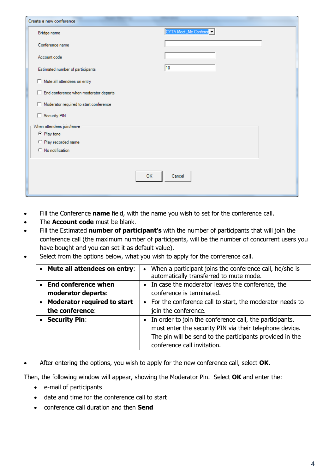| Create a new conference                       |                       |  |  |  |
|-----------------------------------------------|-----------------------|--|--|--|
| Bridge name                                   | CYTA Meet_Me Conferer |  |  |  |
| Conference name                               |                       |  |  |  |
| Account code                                  |                       |  |  |  |
| Estimated number of participants              | $ 10\rangle$          |  |  |  |
| Mute all attendees on entry                   |                       |  |  |  |
| $\Box$ End conference when moderator departs  |                       |  |  |  |
| $\Box$ Moderator required to start conference |                       |  |  |  |
| Security PIN                                  |                       |  |  |  |
| When attendees join/leave                     |                       |  |  |  |
| ⊙ Play tone                                   |                       |  |  |  |
| C Play recorded name                          |                       |  |  |  |
| C No notification                             |                       |  |  |  |
|                                               |                       |  |  |  |
| OK                                            | Cancel                |  |  |  |

- Fill the Conference **name** field, with the name you wish to set for the conference call.
- The **Account code** must be blank.
- Fill the Estimated **number of participant's** with the number of participants that will join the conference call (the maximum number of participants, will be the number of concurrent users you have bought and you can set it as default value).
- Select from the options below, what you wish to apply for the conference call.

| • Mute all attendees on entry:     | • When a participant joins the conference call, he/she is<br>automatically transferred to mute mode. |
|------------------------------------|------------------------------------------------------------------------------------------------------|
| • End conference when              | • In case the moderator leaves the conference, the                                                   |
| moderator departs:                 | conference is terminated.                                                                            |
| <b>Moderator required to start</b> | • For the conference call to start, the moderator needs to                                           |
| the conference:                    | join the conference.                                                                                 |
| • Security Pin:                    | • In order to join the conference call, the participants,                                            |
|                                    | must enter the security PIN via their telephone device.                                              |
|                                    | The pin will be send to the participants provided in the                                             |
|                                    | conference call invitation.                                                                          |

• After entering the options, you wish to apply for the new conference call, select **OK**.

Then, the following window will appear, showing the Moderator Pin. Select **ΟΚ** and enter the:

- e-mail of participants
- date and time for the conference call to start
- conference call duration and then **Send**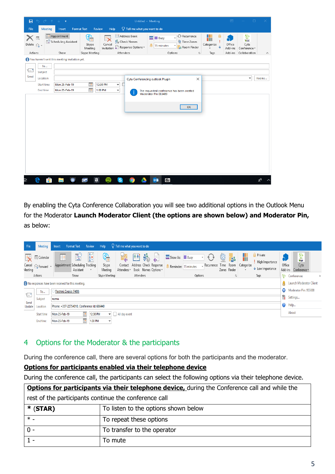| 日<br>File                      | $\begin{array}{ccccccccccccccccc} \circ & \circ & \circ & \circ & \circ & \circ & \circ & \circ \end{array}$<br>Meeting | Insert                                        | <b>Format Text</b><br>Review                  | Help                                                                                           | Untitled - Meeting<br>$\Omega$ Tell me what you want to do |                                                                   |                                                   |                                    | 困                            | $\Box$                                     |          |
|--------------------------------|-------------------------------------------------------------------------------------------------------------------------|-----------------------------------------------|-----------------------------------------------|------------------------------------------------------------------------------------------------|------------------------------------------------------------|-------------------------------------------------------------------|---------------------------------------------------|------------------------------------|------------------------------|--------------------------------------------|----------|
| Delete $\bigcirc$ +<br>Actions | Eq                                                                                                                      | Appointment<br>Scheduling Assistant<br>Show   | <u>G</u><br>Skype<br>Meeting<br>Skype Meeting | Address Book<br><br>ို့ Check Names<br>Cancel<br>Response Options -<br>Invitation<br>Attendees |                                                            | $ZZ$ Busy<br>15 minutes<br>Options                                | Recurrence<br>Time Zones<br>88 Room Finder<br>Гý. | п<br>T<br>Categorize<br>d.<br>Tags | Office<br>Add-ins<br>Add-ins | 皇<br>Cyta<br>Conference v<br>Collaboration | $\wedge$ |
|                                | <b>To</b>                                                                                                               | You haven't sent this meeting invitation yet. |                                               |                                                                                                |                                                            |                                                                   |                                                   |                                    |                              |                                            |          |
| $\equiv$<br>Send               | Subject<br>Location                                                                                                     |                                               |                                               |                                                                                                |                                                            | Cyta Conferencing outlook Plugin                                  | X                                                 |                                    |                              | $\overline{\mathbf{v}}$                    | Rooms    |
|                                | <b>Start time</b><br>End time                                                                                           | Mon 25-Feb-19<br>Mon 25-Feb-19                | <b>TR</b><br>12:30 PM<br><b>P</b><br>1:00 PM  | С<br>$\blacktriangledown$<br>$\blacktriangledown$                                              |                                                            | The requested conference has been created<br>Moderator Pin 083409 |                                                   |                                    |                              |                                            |          |
|                                |                                                                                                                         |                                               |                                               |                                                                                                |                                                            |                                                                   | OK                                                |                                    |                              |                                            |          |
|                                |                                                                                                                         |                                               |                                               |                                                                                                |                                                            |                                                                   |                                                   |                                    |                              |                                            |          |
|                                |                                                                                                                         |                                               |                                               |                                                                                                |                                                            |                                                                   |                                                   |                                    |                              |                                            |          |
|                                |                                                                                                                         |                                               |                                               |                                                                                                |                                                            |                                                                   |                                                   |                                    |                              |                                            |          |
|                                |                                                                                                                         |                                               |                                               |                                                                                                |                                                            |                                                                   |                                                   |                                    |                              |                                            |          |
| ħ                              | Ĥ<br>e                                                                                                                  |                                               | $\mathbf{a}$<br>œ                             | $\mathbf{s}$                                                                                   | $\bullet$                                                  | $0\overline{2}$<br>$\overline{z}$                                 |                                                   |                                    |                              |                                            | æ        |

By enabling the Cyta Conference Collaboration you will see two additional options in the Outlook Menu for the Moderator **Launch Moderator Client (the options are shown below) and Moderator Pin,**  as below:

| File                                                   | Meeting                                                                | Review<br>Format Text<br>Insert                                                                             | $\mathbb Q$ Tell me what you want to do<br><b>Help</b> |                                                                                                    |                      |                                                                                             |                                                        |          |                                               |
|--------------------------------------------------------|------------------------------------------------------------------------|-------------------------------------------------------------------------------------------------------------|--------------------------------------------------------|----------------------------------------------------------------------------------------------------|----------------------|---------------------------------------------------------------------------------------------|--------------------------------------------------------|----------|-----------------------------------------------|
| Meeting                                                | <b>EQ</b> Calendar<br>Cancel <sub>2</sub> Forward v                    | $3\sqrt{ }$<br>E<br>P<br>$\frac{3x}{27}$<br>Appointment Scheduling Tracking<br>Assistant<br>$\mathbf{v}$    | e,<br>KA<br>Skype<br>Contact<br>Meeting<br>Attendees * | Ê<br>$\ddot{v}_{\odot}$<br>뗼<br>ZZ Show As: Busy<br>Address Check Response<br>Book Names Options v | Reminder: 15 minutes | Ø<br>$\mathbf{g}_2$<br>Ш<br>Recurrence Time Room Categorize<br>Zones Finder<br>$\mathbf{v}$ | Private<br>High Importance<br>$\bigvee$ Low Importance | Office   | $\frac{1}{2}$<br>Cyta<br>Add-ins Conference v |
|                                                        | Actions<br>Attendees<br>Show<br>Skype Meeting<br>Options<br>Tags<br>Б. |                                                                                                             |                                                        |                                                                                                    | Conferences          |                                                                                             |                                                        |          |                                               |
| ぴ<br>No responses have been received for this meeting. |                                                                        |                                                                                                             |                                                        |                                                                                                    |                      | Launch Moderator Client                                                                     |                                                        |          |                                               |
|                                                        | $\bullet$<br>Παστού Σοφία (7400)<br>To                                 |                                                                                                             |                                                        |                                                                                                    |                      |                                                                                             | Moderator Pin: 955888                                  |          |                                               |
| ie'                                                    | Subject<br>τεστιμ                                                      |                                                                                                             |                                                        |                                                                                                    |                      |                                                                                             | Ył                                                     | Settings |                                               |
| Send<br>Update                                         | Help<br>Phone: +357-22754010, Conference Id: 686440<br>Location        |                                                                                                             |                                                        |                                                                                                    |                      |                                                                                             |                                                        |          |                                               |
|                                                        | Start time                                                             | About<br>$\overline{\mathbb{R}^n}$<br>12:30 PM<br>All day event<br>Mon 25-Feb-19<br>$\overline{\mathbf{v}}$ |                                                        |                                                                                                    |                      |                                                                                             |                                                        |          |                                               |
|                                                        | <b>End time</b>                                                        | $\blacksquare$<br>1:30 PM<br>Mon 25-Feb-19<br>$\overline{\phantom{a}}$                                      |                                                        |                                                                                                    |                      |                                                                                             |                                                        |          |                                               |

# <span id="page-4-0"></span>4 Options for the Moderator & the participants

During the conference call, there are several options for both the participants and the moderator.

#### **Options for participants enabled via their telephone device**

During the conference call, the participants can select the following options via their telephone device.

| <b>Options for participants via their telephone device, during the Conference call and while the</b> |                             |  |  |  |
|------------------------------------------------------------------------------------------------------|-----------------------------|--|--|--|
| rest of the participants continue the conference call                                                |                             |  |  |  |
| To listen to the options shown below<br>$*$ (STAR)                                                   |                             |  |  |  |
| $*$ $-$                                                                                              | To repeat these options     |  |  |  |
| $0 -$                                                                                                | To transfer to the operator |  |  |  |
|                                                                                                      | To mute                     |  |  |  |